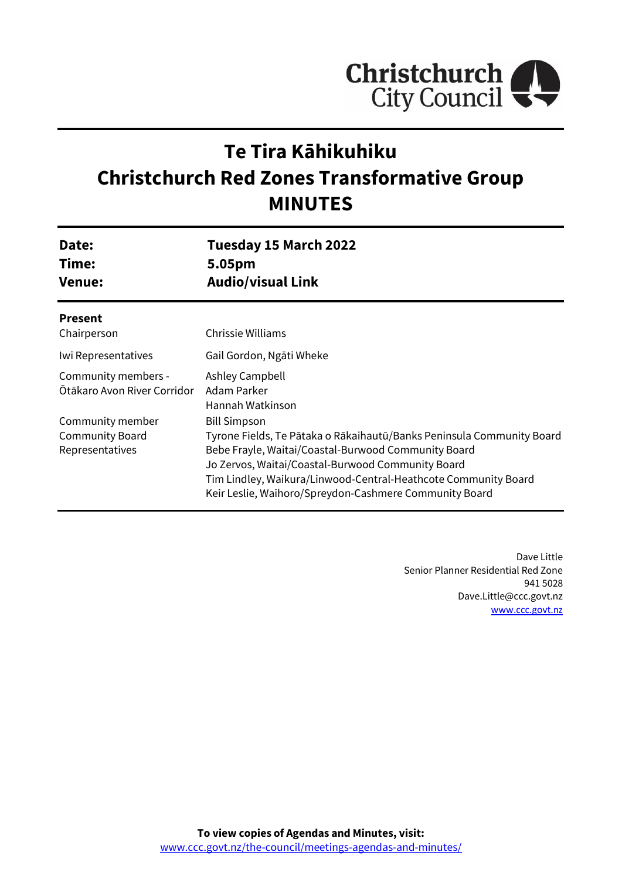

# **Te Tira Kāhikuhiku Christchurch Red Zones Transformative Group MINUTES**

| Date:<br>Time:<br><b>Venue:</b>                               | Tuesday 15 March 2022<br>5.05pm<br><b>Audio/visual Link</b>                                                                                                                                                                                                                                                                          |
|---------------------------------------------------------------|--------------------------------------------------------------------------------------------------------------------------------------------------------------------------------------------------------------------------------------------------------------------------------------------------------------------------------------|
| <b>Present</b><br>Chairperson                                 | Chrissie Williams                                                                                                                                                                                                                                                                                                                    |
| Iwi Representatives                                           | Gail Gordon, Ngāti Wheke                                                                                                                                                                                                                                                                                                             |
| Community members -<br>Ötākaro Avon River Corridor            | Ashley Campbell<br>Adam Parker<br>Hannah Watkinson                                                                                                                                                                                                                                                                                   |
| Community member<br><b>Community Board</b><br>Representatives | <b>Bill Simpson</b><br>Tyrone Fields, Te Pātaka o Rākaihautū/Banks Peninsula Community Board<br>Bebe Frayle, Waitai/Coastal-Burwood Community Board<br>Jo Zervos, Waitai/Coastal-Burwood Community Board<br>Tim Lindley, Waikura/Linwood-Central-Heathcote Community Board<br>Keir Leslie, Waihoro/Spreydon-Cashmere Community Board |

Dave Little Senior Planner Residential Red Zone 941 5028 Dave.Little@ccc.govt.nz [www.ccc.govt.nz](http://www.ccc.govt.nz/)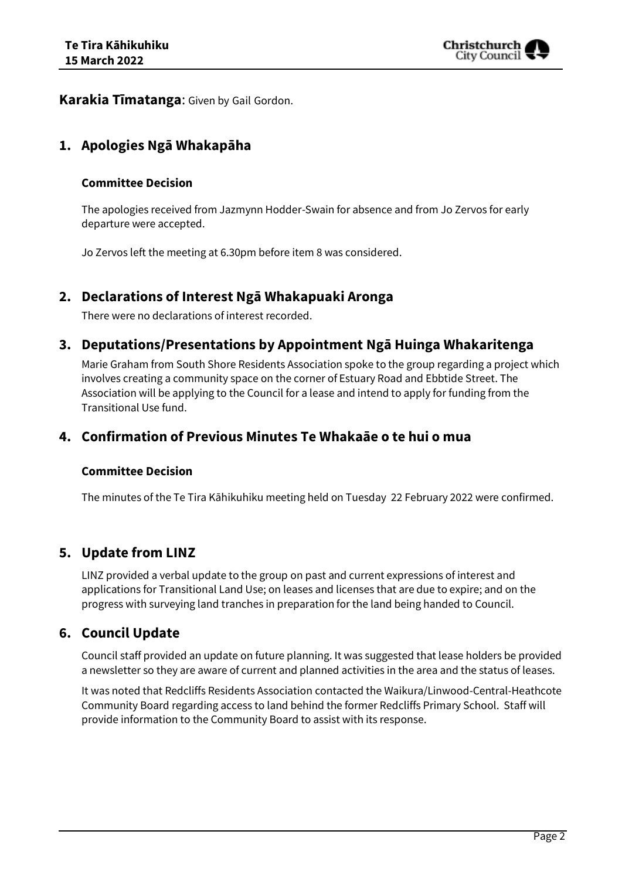

**Karakia Tīmatanga**: Given by Gail Gordon.

# **1. Apologies Ngā Whakapāha**

#### **Committee Decision**

The apologies received from Jazmynn Hodder-Swain for absence and from Jo Zervos for early departure were accepted.

Jo Zervos left the meeting at 6.30pm before item 8 was considered.

## **2. Declarations of Interest Ngā Whakapuaki Aronga**

There were no declarations of interest recorded.

## **3. Deputations/Presentations by Appointment Ngā Huinga Whakaritenga**

Marie Graham from South Shore Residents Association spoke to the group regarding a project which involves creating a community space on the corner of Estuary Road and Ebbtide Street. The Association will be applying to the Council for a lease and intend to apply for funding from the Transitional Use fund.

## **4. Confirmation of Previous Minutes Te Whakaāe o te hui o mua**

#### **Committee Decision**

The minutes of the Te Tira Kāhikuhiku meeting held on Tuesday 22 February 2022 were confirmed.

# **5. Update from LINZ**

LINZ provided a verbal update to the group on past and current expressions of interest and applications for Transitional Land Use; on leases and licenses that are due to expire; and on the progress with surveying land tranches in preparation for the land being handed to Council.

## **6. Council Update**

Council staff provided an update on future planning. It was suggested that lease holders be provided a newsletter so they are aware of current and planned activities in the area and the status of leases.

It was noted that Redcliffs Residents Association contacted the Waikura/Linwood-Central-Heathcote Community Board regarding access to land behind the former Redcliffs Primary School. Staff will provide information to the Community Board to assist with its response.